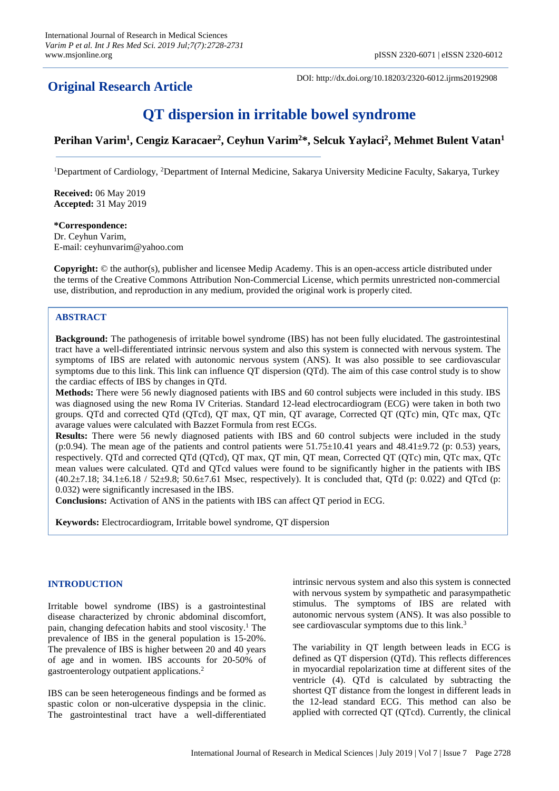## **Original Research Article**

DOI: http://dx.doi.org/10.18203/2320-6012.ijrms20192908

# **QT dispersion in irritable bowel syndrome**

### **Perihan Varim<sup>1</sup> , Cengiz Karacaer<sup>2</sup> , Ceyhun Varim<sup>2</sup>\*, Selcuk Yaylaci<sup>2</sup> , Mehmet Bulent Vatan<sup>1</sup>**

<sup>1</sup>Department of Cardiology, <sup>2</sup>Department of Internal Medicine, Sakarya University Medicine Faculty, Sakarya, Turkey

**Received:** 06 May 2019 **Accepted:** 31 May 2019

**\*Correspondence:** Dr. Ceyhun Varim, E-mail: ceyhunvarim@yahoo.com

**Copyright:** © the author(s), publisher and licensee Medip Academy. This is an open-access article distributed under the terms of the Creative Commons Attribution Non-Commercial License, which permits unrestricted non-commercial use, distribution, and reproduction in any medium, provided the original work is properly cited.

#### **ABSTRACT**

**Background:** The pathogenesis of irritable bowel syndrome (IBS) has not been fully elucidated. The gastrointestinal tract have a well-differentiated intrinsic nervous system and also this system is connected with nervous system. The symptoms of IBS are related with autonomic nervous system (ANS). It was also possible to see cardiovascular symptoms due to this link. This link can influence QT dispersion (QTd). The aim of this case control study is to show the cardiac effects of IBS by changes in QTd.

**Methods:** There were 56 newly diagnosed patients with IBS and 60 control subjects were included in this study. IBS was diagnosed using the new Roma IV Criterias. Standard 12-lead electrocardiogram (ECG) were taken in both two groups. QTd and corrected QTd (QTcd), QT max, QT min, QT avarage, Corrected QT (QTc) min, QTc max, QTc avarage values were calculated with Bazzet Formula from rest ECGs.

**Results:** There were 56 newly diagnosed patients with IBS and 60 control subjects were included in the study (p:0.94). The mean age of the patients and control patients were  $51.75\pm10.41$  years and  $48.41\pm9.72$  (p: 0.53) years, respectively. QTd and corrected QTd (QTcd), QT max, QT min, QT mean, Corrected QT (QTc) min, QTc max, QTc mean values were calculated. QTd and QTcd values were found to be significantly higher in the patients with IBS  $(40.2\pm7.18; 34.1\pm6.18 / 52\pm9.8; 50.6\pm7.61$  Msec, respectively). It is concluded that, QTd (p: 0.022) and QTcd (p: 0.032) were significantly incresased in the IBS.

**Conclusions:** Activation of ANS in the patients with IBS can affect QT period in ECG.

**Keywords:** Electrocardiogram, Irritable bowel syndrome, QT dispersion

#### **INTRODUCTION**

Irritable bowel syndrome (IBS) is a gastrointestinal disease characterized by chronic abdominal discomfort, pain, changing defecation habits and stool viscosity. <sup>1</sup> The prevalence of IBS in the general population is 15-20%. The prevalence of IBS is higher between 20 and 40 years of age and in women. IBS accounts for 20-50% of gastroenterology outpatient applications. 2

IBS can be seen heterogeneous findings and be formed as spastic colon or non-ulcerative dyspepsia in the clinic. The gastrointestinal tract have a well-differentiated intrinsic nervous system and also this system is connected with nervous system by sympathetic and parasympathetic stimulus. The symptoms of IBS are related with autonomic nervous system (ANS). It was also possible to see cardiovascular symptoms due to this link.<sup>3</sup>

The variability in QT length between leads in ECG is defined as QT dispersion (QTd). This reflects differences in myocardial repolarization time at different sites of the ventricle (4). QTd is calculated by subtracting the shortest QT distance from the longest in different leads in the 12-lead standard ECG. This method can also be applied with corrected QT (QTcd). Currently, the clinical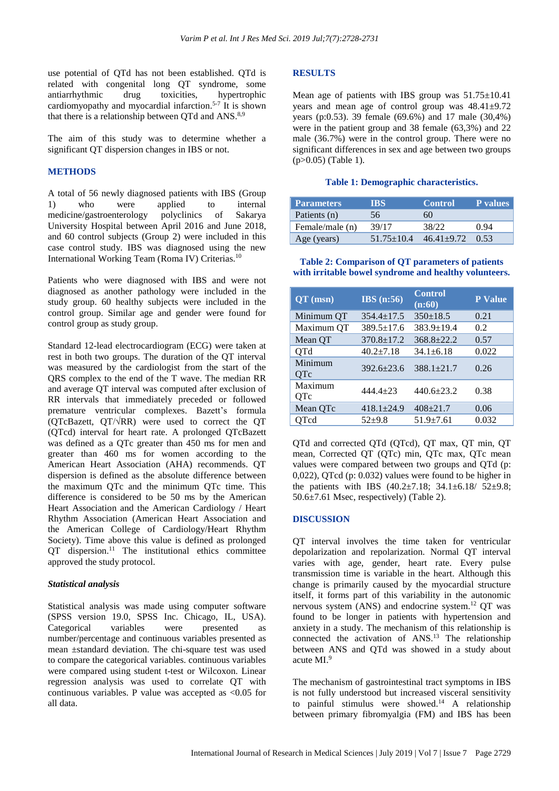use potential of QTd has not been established. QTd is related with congenital long QT syndrome, some antiarrhythmic drug toxicities, hypertrophic cardiomyopathy and myocardial infarction. 5-7 It is shown that there is a relationship between QTd and ANS.<sup>8,9</sup>

The aim of this study was to determine whether a significant QT dispersion changes in IBS or not.

#### **METHODS**

A total of 56 newly diagnosed patients with IBS (Group 1) who were applied to internal medicine/gastroenterology polyclinics of Sakarya University Hospital between April 2016 and June 2018, and 60 control subjects (Group 2) were included in this case control study. IBS was diagnosed using the new International Working Team (Roma IV) Criterias.<sup>10</sup>

Patients who were diagnosed with IBS and were not diagnosed as another pathology were included in the study group. 60 healthy subjects were included in the control group. Similar age and gender were found for control group as study group.

Standard 12-lead electrocardiogram (ECG) were taken at rest in both two groups. The duration of the QT interval was measured by the cardiologist from the start of the QRS complex to the end of the T wave. The median RR and average QT interval was computed after exclusion of RR intervals that immediately preceded or followed premature ventricular complexes. Bazett's formula (QTcBazett, QT/√RR) were used to correct the QT (QTcd) interval for heart rate. A prolonged QTcBazett was defined as a QTc greater than 450 ms for men and greater than 460 ms for women according to the American Heart Association (AHA) recommends. QT dispersion is defined as the absolute difference between the maximum QTc and the minimum QTc time. This difference is considered to be 50 ms by the American Heart Association and the American Cardiology / Heart Rhythm Association (American Heart Association and the American College of Cardiology/Heart Rhythm Society). Time above this value is defined as prolonged QT dispersion. <sup>11</sup> The institutional ethics committee approved the study protocol.

#### *Statistical analysis*

Statistical analysis was made using computer software (SPSS version 19.0, SPSS Inc. Chicago, IL, USA). Categorical variables were presented as number/percentage and continuous variables presented as mean ±standard deviation. The chi-square test was used to compare the categorical variables. continuous variables were compared using student t-test or Wilcoxon. Linear regression analysis was used to correlate QT with continuous variables. P value was accepted as <0.05 for all data.

#### **RESULTS**

Mean age of patients with IBS group was  $51.75\pm10.41$ years and mean age of control group was 48.41±9.72 years (p:0.53). 39 female (69.6%) and 17 male (30,4%) were in the patient group and 38 female (63,3%) and 22 male (36.7%) were in the control group. There were no significant differences in sex and age between two groups (p>0.05) (Table 1).

#### **Table 1: Demographic characteristics.**

| <b>Parameters</b> | TBS.             | <b>Control</b> | <b>P</b> values |
|-------------------|------------------|----------------|-----------------|
| Patients (n)      | 56               | 60             |                 |
| Female/male (n)   | 39/17            | 38/22          | 0.94            |
| Age (years)       | $51.75 \pm 10.4$ | $46.41 + 9.72$ | (153)           |

#### **Table 2: Comparison of QT parameters of patients with irritable bowel syndrome and healthy volunteers.**

| $QT$ (msn)     | $\overline{\text{IBS}}$ (n:56) | <b>Control</b><br>(n:60) | <b>P</b> Value |
|----------------|--------------------------------|--------------------------|----------------|
| Minimum QT     | $354.4 \pm 17.5$               | $350 \pm 18.5$           | 0.21           |
| Maximum QT     | $389.5 \pm 17.6$               | 383.9±19.4               | 0.2            |
| Mean QT        | $370.8 \pm 17.2$               | $368.8 \pm 22.2$         | 0.57           |
| <b>QTd</b>     | $40.2 \pm 7.18$                | $34.1 \pm 6.18$          | 0.022          |
| Minimum<br>QTc | $392.6 \pm 23.6$               | $388.1 \pm 21.7$         | 0.26           |
| Maximum<br>QTc | $444.4 + 23$                   | $440.6 \pm 23.2$         | 0.38           |
| Mean QTc       | $418.1 \pm 24.9$               | $408 \pm 21.7$           | 0.06           |
| <b>QTcd</b>    | $52+9.8$                       | $51.9 \pm 7.61$          | 0.032          |

QTd and corrected QTd (QTcd), QT max, QT min, QT mean, Corrected QT (QTc) min, QTc max, QTc mean values were compared between two groups and QTd (p: 0,022), QTcd (p: 0.032) values were found to be higher in the patients with IBS  $(40.2 \pm 7.18; 34.1 \pm 6.18/ 52 \pm 9.8;$ 50.6±7.61 Msec, respectively) (Table 2).

#### **DISCUSSION**

QT interval involves the time taken for ventricular depolarization and repolarization. Normal QT interval varies with age, gender, heart rate. Every pulse transmission time is variable in the heart. Although this change is primarily caused by the myocardial structure itself, it forms part of this variability in the autonomic nervous system (ANS) and endocrine system.<sup>12</sup> QT was found to be longer in patients with hypertension and anxiety in a study. The mechanism of this relationship is connected the activation of ANS.<sup>13</sup> The relationship between ANS and QTd was showed in a study about acute MI.<sup>9</sup>

The mechanism of gastrointestinal tract symptoms in IBS is not fully understood but increased visceral sensitivity to painful stimulus were showed.<sup>14</sup> A relationship between primary fibromyalgia (FM) and IBS has been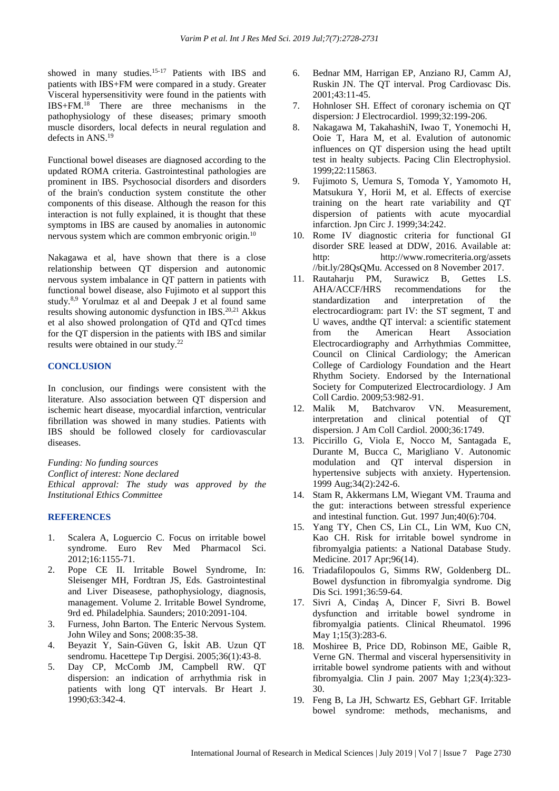showed in many studies.<sup>15-17</sup> Patients with IBS and patients with IBS+FM were compared in a study. Greater Visceral hypersensitivity were found in the patients with IBS+FM.<sup>18</sup> There are three mechanisms in the pathophysiology of these diseases; primary smooth muscle disorders, local defects in neural regulation and defects in ANS.<sup>19</sup>

Functional bowel diseases are diagnosed according to the updated ROMA criteria. Gastrointestinal pathologies are prominent in IBS. Psychosocial disorders and disorders of the brain's conduction system constitute the other components of this disease. Although the reason for this interaction is not fully explained, it is thought that these symptoms in IBS are caused by anomalies in autonomic nervous system which are common embryonic origin.<sup>10</sup>

Nakagawa et al, have shown that there is a close relationship between QT dispersion and autonomic nervous system imbalance in QT pattern in patients with functional bowel disease, also Fujimoto et al support this study.<sup>8,9</sup> Yorulmaz et al and Deepak J et al found same results showing autonomic dysfunction in IBS.<sup>20,21</sup> Akkus et al also showed prolongation of QTd and QTcd times for the QT dispersion in the patients with IBS and similar results were obtained in our study.<sup>22</sup>

#### **CONCLUSION**

In conclusion, our findings were consistent with the literature. Also association between QT dispersion and ischemic heart disease, myocardial infarction, ventricular fibrillation was showed in many studies. Patients with IBS should be followed closely for cardiovascular diseases.

*Funding: No funding sources*

*Conflict of interest: None declared*

*Ethical approval: The study was approved by the Institutional Ethics Committee*

#### **REFERENCES**

- 1. Scalera A, Loguercio C. Focus on irritable bowel syndrome. Euro Rev Med Pharmacol Sci. 2012;16:1155-71.
- 2. Pope CE II. Irritable Bowel Syndrome, In: Sleisenger MH, Fordtran JS, Eds. Gastrointestinal and Liver Diseasese, pathophysiology, diagnosis, management. Volume 2. Irritable Bowel Syndrome, 9rd ed. Philadelphia. Saunders; 2010:2091-104.
- 3. Furness, John Barton. The Enteric Nervous System. John Wiley and Sons; 2008:35-38.
- 4. Beyazit Y, Sain-Güven G, İskit AB. Uzun QT sendromu. Hacettepe Tıp Dergisi. 2005;36(1):43-8.
- 5. Day CP, McComb JM, Campbell RW. QT dispersion: an indication of arrhythmia risk in patients with long QT intervals. Br Heart J. 1990;63:342-4.
- 6. Bednar MM, Harrigan EP, Anziano RJ, Camm AJ, Ruskin JN. The QT interval. Prog Cardiovasc Dis. 2001;43:11-45.
- 7. Hohnloser SH. Effect of coronary ischemia on QT dispersion: J Electrocardiol. 1999;32:199-206.
- 8. Nakagawa M, TakahashiN, Iwao T, Yonemochi H, Ooie T, Hara M, et al. Evalution of autonomic influences on QT dispersion using the head uptilt test in healty subjects. Pacing Clin Electrophysiol. 1999;22:115863.
- 9. Fujimoto S, Uemura S, Tomoda Y, Yamomoto H, Matsukura Y, Horii M, et al. Effects of exercise training on the heart rate variability and QT dispersion of patients with acute myocardial infarction. Jpn Circ J. 1999;34:242.
- 10. Rome IV diagnostic criteria for functional GI disorder SRE leased at DDW, 2016. Available at: http: http://www.romecriteria.org/assets //bit.ly/28QsQMu. Accessed on 8 November 2017.
- 11. Rautaharju PM, Surawicz B, Gettes LS. AHA/ACCF/HRS recommendations for the standardization and interpretation of the electrocardiogram: part IV: the ST segment, T and U waves, andthe QT interval: a scientific statement from the American Heart Association Electrocardiography and Arrhythmias Committee, Council on Clinical Cardiology; the American College of Cardiology Foundation and the Heart Rhythm Society. Endorsed by the International Society for Computerized Electrocardiology. J Am Coll Cardio. 2009;53:982-91.
- 12. Malik M, Batchvarov VN. Measurement, interpretation and clinical potential of QT dispersion. J Am Coll Cardiol. 2000;36:1749.
- 13. Piccirillo G, Viola E, Nocco M, Santagada E, Durante M, Bucca C, Marigliano V. Autonomic modulation and QT interval dispersion in hypertensive subjects with anxiety. Hypertension. 1999 Aug;34(2):242-6.
- 14. Stam R, Akkermans LM, Wiegant VM. Trauma and the gut: interactions between stressful experience and intestinal function. Gut. 1997 Jun;40(6):704.
- 15. Yang TY, Chen CS, Lin CL, Lin WM, Kuo CN, Kao CH. Risk for irritable bowel syndrome in fibromyalgia patients: a National Database Study. Medicine. 2017 Apr;96(14).
- 16. Triadafilopoulos G, Simms RW, Goldenberg DL. Bowel dysfunction in fibromyalgia syndrome. Dig Dis Sci. 1991;36:59-64.
- 17. Sivri A, Cindaş A, Dincer F, Sivri B. Bowel dysfunction and irritable bowel syndrome in fibromyalgia patients. Clinical Rheumatol. 1996 May 1;15(3):283-6.
- 18. Moshiree B, Price DD, Robinson ME, Gaible R, Verne GN. Thermal and visceral hypersensitivity in irritable bowel syndrome patients with and without fibromyalgia. Clin J pain. 2007 May 1;23(4):323- 30.
- 19. Feng B, La JH, Schwartz ES, Gebhart GF. Irritable bowel syndrome: methods, mechanisms, and